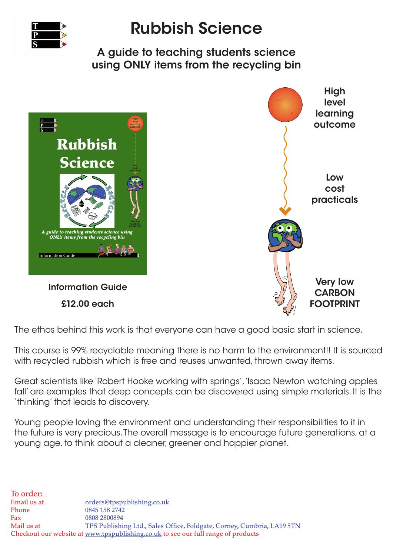

## Rubbish Science

A guide to teaching students science using ONLY items from the recycling bin



Information Guide £12.00 each



The ethos behind this work is that everyone can have a good basic start in science.

This course is 99% recyclable meaning there is no harm to the environment!! It is sourced with recycled rubbish which is free and reuses unwanted, thrown away items.

Great scientists like 'Robert Hooke working with springs', 'Isaac Newton watching apples fall' are examples that deep concepts can be discovered using simple materials. It is the 'thinking' that leads to discovery.

Young people loving the environment and understanding their responsibilities to it in the future is very precious. The overall message is to encourage future generations, at a young age, to think about a cleaner, greener and happier planet.